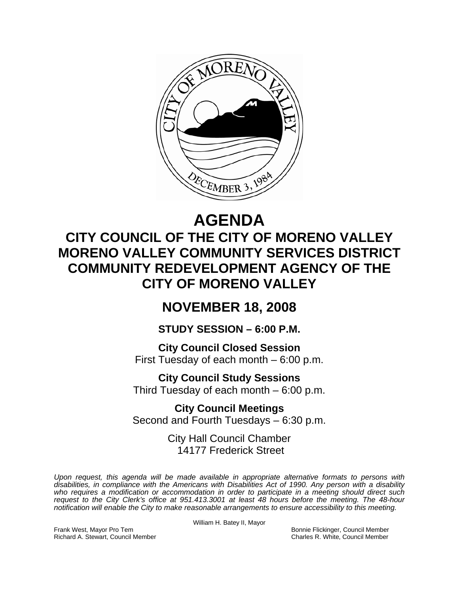

# **AGENDA**

## **CITY COUNCIL OF THE CITY OF MORENO VALLEY MORENO VALLEY COMMUNITY SERVICES DISTRICT COMMUNITY REDEVELOPMENT AGENCY OF THE CITY OF MORENO VALLEY**

## **NOVEMBER 18, 2008**

## **STUDY SESSION – 6:00 P.M.**

**City Council Closed Session**  First Tuesday of each month – 6:00 p.m.

**City Council Study Sessions**  Third Tuesday of each month – 6:00 p.m.

**City Council Meetings**  Second and Fourth Tuesdays – 6:30 p.m.

> City Hall Council Chamber 14177 Frederick Street

*Upon request, this agenda will be made available in appropriate alternative formats to persons with disabilities, in compliance with the Americans with Disabilities Act of 1990. Any person with a disability*  who requires a modification or accommodation in order to participate in a meeting should direct such *request to the City Clerk's office at 951.413.3001 at least 48 hours before the meeting. The 48-hour notification will enable the City to make reasonable arrangements to ensure accessibility to this meeting.* 

William H. Batey II, Mayor

Frank West, Mayor Pro Tem Bonnie Flickinger, Council Member Richard A. Stewart, Council Member Charles R. White, Council Member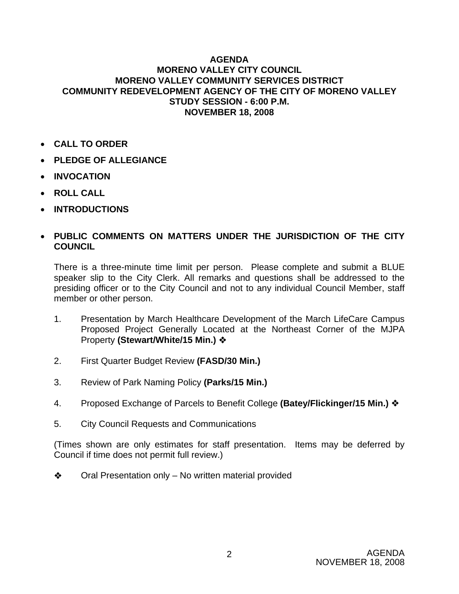#### **AGENDA MORENO VALLEY CITY COUNCIL MORENO VALLEY COMMUNITY SERVICES DISTRICT COMMUNITY REDEVELOPMENT AGENCY OF THE CITY OF MORENO VALLEY STUDY SESSION - 6:00 P.M. NOVEMBER 18, 2008**

- **CALL TO ORDER**
- **PLEDGE OF ALLEGIANCE**
- **INVOCATION**
- **ROLL CALL**
- **INTRODUCTIONS**

### • **PUBLIC COMMENTS ON MATTERS UNDER THE JURISDICTION OF THE CITY COUNCIL**

There is a three-minute time limit per person. Please complete and submit a BLUE speaker slip to the City Clerk. All remarks and questions shall be addressed to the presiding officer or to the City Council and not to any individual Council Member, staff member or other person.

- 1. Presentation by March Healthcare Development of the March LifeCare Campus Proposed Project Generally Located at the Northeast Corner of the MJPA Property **(Stewart/White/15 Min.)**
- 2. First Quarter Budget Review **(FASD/30 Min.)**
- 3. Review of Park Naming Policy **(Parks/15 Min.)**
- 4. Proposed Exchange of Parcels to Benefit College **(Batey/Flickinger/15 Min.)**
- 5. City Council Requests and Communications

(Times shown are only estimates for staff presentation. Items may be deferred by Council if time does not permit full review.)

 $\triangleleft$  Oral Presentation only – No written material provided